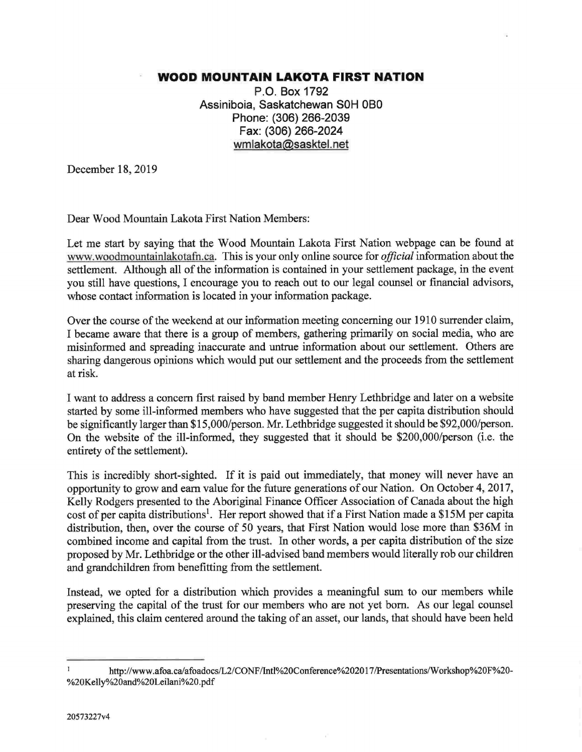## WOOD MOUNTAIN LAKOTA FIRST NATION

P.O. Box 1792 Assiniboia, Saskatchewan SOH OBO Phone: (306) 266-2039 Fax: (306) 266-2024 wmlakota@sasktel.net

December 18, 2019

Dear Wood Mountain Lakota First Nation Members:

Let me start by saying that the Wood Mountain Lakota First Nation webpage can be found at www.woodmountainlakotafn.ca. This is your only online source for official information about the settlement. Although all of the information is contained in your settlement package, in the event you still have questions, I encourage you to reach out to our legal counsel or financial advisors, whose contact information is located in your information package.

Over the course of the weekend at our information meeting concerning our 1910 surrender claim, I became aware that there is a group of members, gathering primarily on social media, who are misinformed and spreading inaccurate and untrue information about our settlement. Others are sharing dangerous opinions which would put our settlement and the proceeds from the settlement at risk.

I want to address a concern first raised by band member Henry Lethbridge and later on a website started by some ill-informed members who have suggested that the per capita distribution should be significantly larger than \$15,000/person. Mr. Lethbridge suggested it should be \$92,000/person. On the website of the ill-informed, they suggested that it should be \$200,000/person (i.e. the entirety of the settlement).

This is incredibly short-sighted. If it is paid out immediately, that money will never have an opportunity to grow and earn value for the future generations of our Nation. On October 4, 2017, Kelly Rodgers presented to the Aboriginal Finance Officer Association of Canada about the high cost of per capita distributions<sup>1</sup>. Her report showed that if a First Nation made a \$15M per capita distribution, then, over the course of 50 years, that First Nation would lose more than \$36M in combined income and capital from the trust. In other words, a per capita distribution of the size proposed by Mr. Lethbridge or the other ill-advised band members would literally rob our children and grandchildren from benefitting from the settlement.

Instead, we opted for a distribution which provides a meaningful sum to our members while preserving the capital of the trust for our members who are not yet born. As our legal counsel explained, this claim centered around the taking of an asset, our lands, that should have been held

 $\mathbf{I}$ http://www.afoa.ca/afoadocs/L2/CONF/Intl%20Conference%2020 1 7/Presentations/Workshop%20F%20- %20Kelly%20and%20Leilani%20.pdf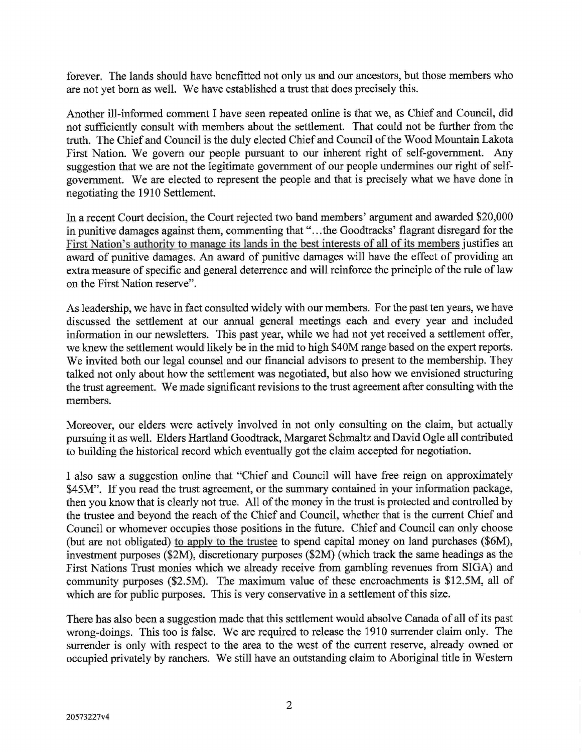forever. The lands should have benefitted not only us and our ancestors, but those members who are not yet born as well. We have established a trust that does precisely this.

Another ill-informed comment I have seen repeated online is that we, as Chief and Council, did not sufficiently consult with members about the settlement. That could not be further from the truth. The Chief and Council is the duly elected Chief and Council of the Wood Mountain Lakota First Nation. We govern our people pursuant to our inherent right of self-government. Any suggestion that we are not the legitimate government of our people undermines our right of selfgovernment. We are elected to represent the people and that is precisely what we have done in negotiating the 1910 Settlement.

In a recent Court decision, the Court rejected two band members' argument and awarded \$20,000 in punitive damages against them, commenting that "...the Goodtracks' flagrant disregard for the First Nation's authority to manage its lands in the best interests of all of its members justifies an award of punitive damages. An award of punitive damages will have the effect of providing an extra measure of specific and general deterrence and will reinforce the principle of the rule of law on the First Nation reserve".

As leadership, we have in fact consulted widely with our members. For the past ten years, we have discussed the settlement at our annual general meetings each and every year and included information in our newsletters. This past year, while we had not yet received a settlement offer, we knew the settlement would likely be in the mid to high \$40M range based on the expert reports. We invited both our legal counsel and our financial advisors to present to the membership. They talked not only about how the settlement was negotiated, but also how we envisioned structuring the trust agreement. We made significant revisions to the trust agreement after consulting with the members.

Moreover, our elders were actively involved in not only consulting on the claim, but actually pursuing it as well. Elders Hartland Goodtrack, Margaret Schmaltz and David Ogle all contributed to building the historical record which eventually got the claim accepted for negotiation.

I also saw a suggestion online that "Chief and Council will have free reign on approximately \$45M". If you read the trust agreement, or the summary contained in your information package, then you know that is clearly not true. All of the money in the trust is protected and controlled by the trustee and beyond the reach of the Chief and Council, whether that is the current Chief and Council or whomever occupies those positions in the future. Chief and Council can only choose (but are not obligated) to apply to the trustee to spend capital money on land purchases (\$6M), investment purposes (\$2M), discretionary purposes (\$2M) (which track the same headings as the First Nations Trust monies which we already receive from gambling revenues from SIGA) and community purposes (\$2.5M). The maximum value of these encroachments is \$12.5M, all of which are for public purposes. This is very conservative in a settlement of this size.

There has also been a suggestion made that this settlement would absolve Canada of all of its past wrong-doings. This too is false. We are required to release the 1910 surrender claim only. The surrender is only with respect to the area to the west of the current reserve, already owned or occupied privately by ranchers. We still have an outstanding claim to Aboriginal title in Western